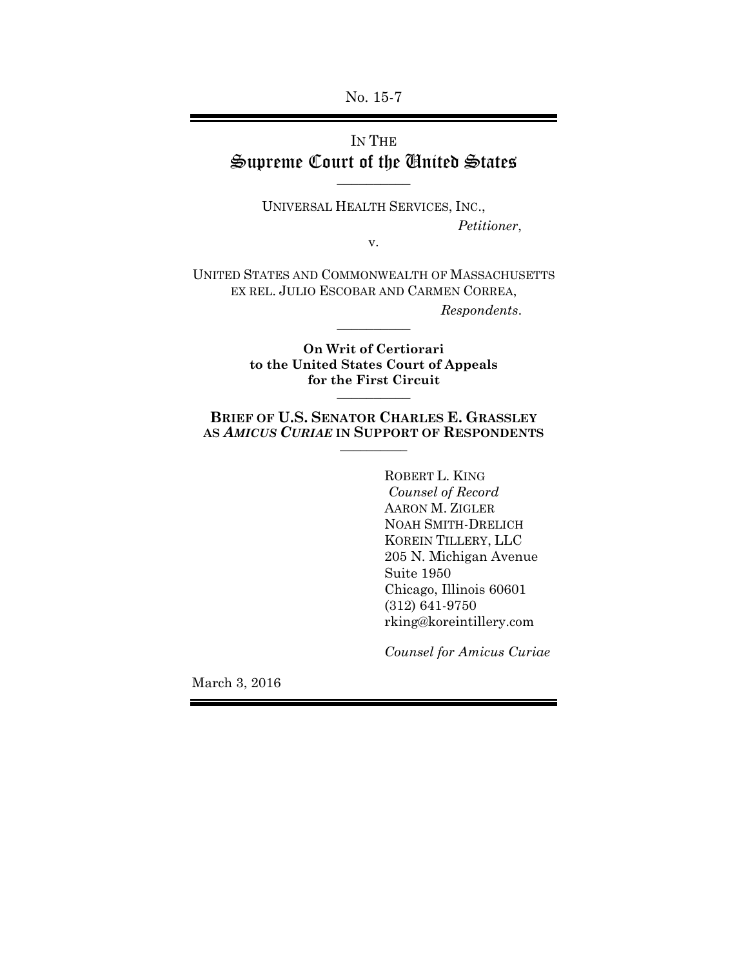No. 15-7

# IN THE Supreme Court of the United States \_\_\_\_\_\_\_\_\_\_

UNIVERSAL HEALTH SERVICES, INC., *Petitioner*,

v.

UNITED STATES AND COMMONWEALTH OF MASSACHUSETTS EX REL. JULIO ESCOBAR AND CARMEN CORREA, *Respondents*. \_\_\_\_\_\_\_\_\_\_

> **On Writ of Certiorari to the United States Court of Appeals for the First Circuit**  $\overline{\phantom{a}}$

**BRIEF OF U.S. SENATOR CHARLES E. GRASSLEY AS** *AMICUS CURIAE* **IN SUPPORT OF RESPONDENTS** \_\_\_\_\_\_\_\_\_\_

> ROBERT L. KING  *Counsel of Record*  AARON M. ZIGLER NOAH SMITH-DRELICH KOREIN TILLERY, LLC 205 N. Michigan Avenue Suite 1950 Chicago, Illinois 60601 (312) 641-9750 rking@koreintillery.com

*Counsel for Amicus Curiae*

March 3, 2016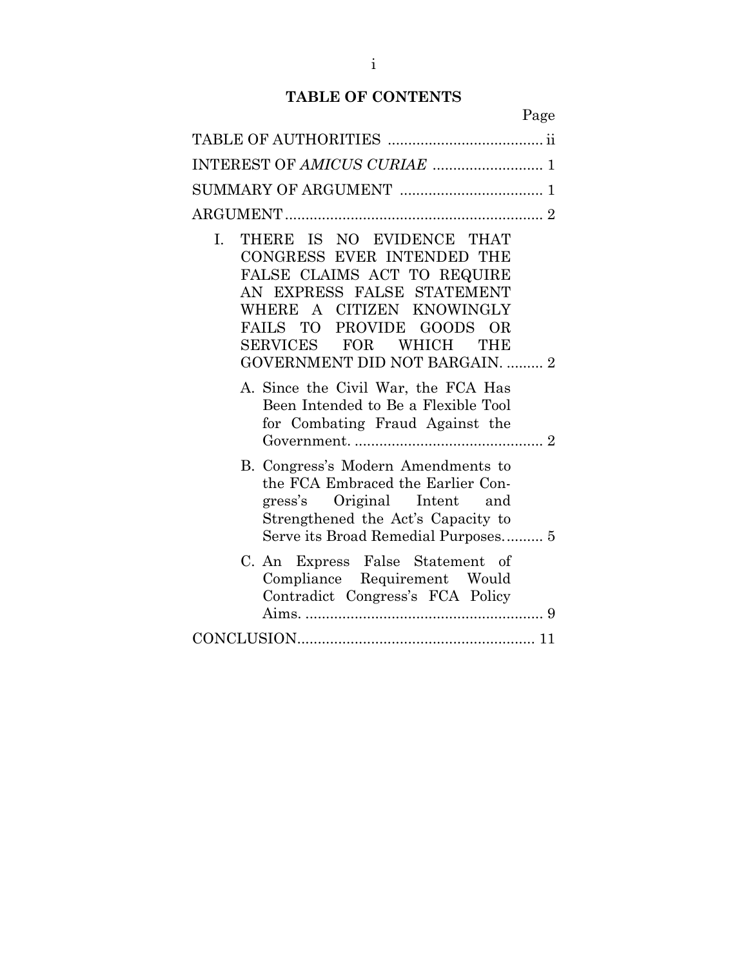## **TABLE OF CONTENTS**

i

Page

| THERE IS NO EVIDENCE THAT<br>L.<br>CONGRESS EVER INTENDED THE<br>FALSE CLAIMS ACT TO REQUIRE<br>AN EXPRESS FALSE STATEMENT<br>WHERE A CITIZEN KNOWINGLY<br>FAILS TO PROVIDE GOODS OR<br>SERVICES FOR WHICH THE<br><b>GOVERNMENT DID NOT BARGAIN.  2</b><br>A. Since the Civil War, the FCA Has<br>Been Intended to Be a Flexible Tool |
|---------------------------------------------------------------------------------------------------------------------------------------------------------------------------------------------------------------------------------------------------------------------------------------------------------------------------------------|
| for Combating Fraud Against the                                                                                                                                                                                                                                                                                                       |
| B. Congress's Modern Amendments to<br>the FCA Embraced the Earlier Con-<br>gress's Original Intent and<br>Strengthened the Act's Capacity to<br>Serve its Broad Remedial Purposes 5                                                                                                                                                   |
| C. An Express False Statement of<br>Compliance Requirement Would<br>Contradict Congress's FCA Policy                                                                                                                                                                                                                                  |
|                                                                                                                                                                                                                                                                                                                                       |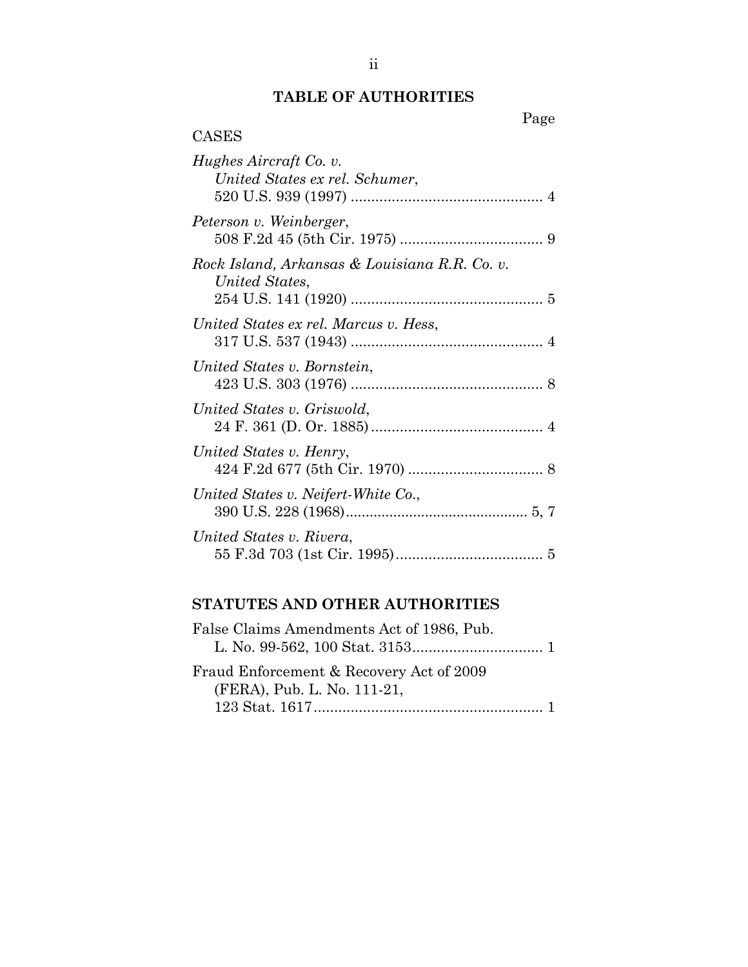## **TABLE OF AUTHORITIES**

| Page                                                            |  |
|-----------------------------------------------------------------|--|
| CASES                                                           |  |
| Hughes Aircraft Co. v.<br>United States ex rel. Schumer,        |  |
| Peterson v. Weinberger,                                         |  |
| Rock Island, Arkansas & Louisiana R.R. Co. v.<br>United States, |  |
| United States ex rel. Marcus v. Hess,                           |  |
| United States v. Bornstein,                                     |  |
| United States v. Griswold,                                      |  |
| United States v. Henry,                                         |  |
| United States v. Neifert-White Co.,                             |  |
| United States v. Rivera,                                        |  |

# **STATUTES AND OTHER AUTHORITIES**

| False Claims Amendments Act of 1986, Pub. |  |
|-------------------------------------------|--|
|                                           |  |
| Fraud Enforcement & Recovery Act of 2009  |  |
| (FERA), Pub. L. No. 111-21,               |  |
|                                           |  |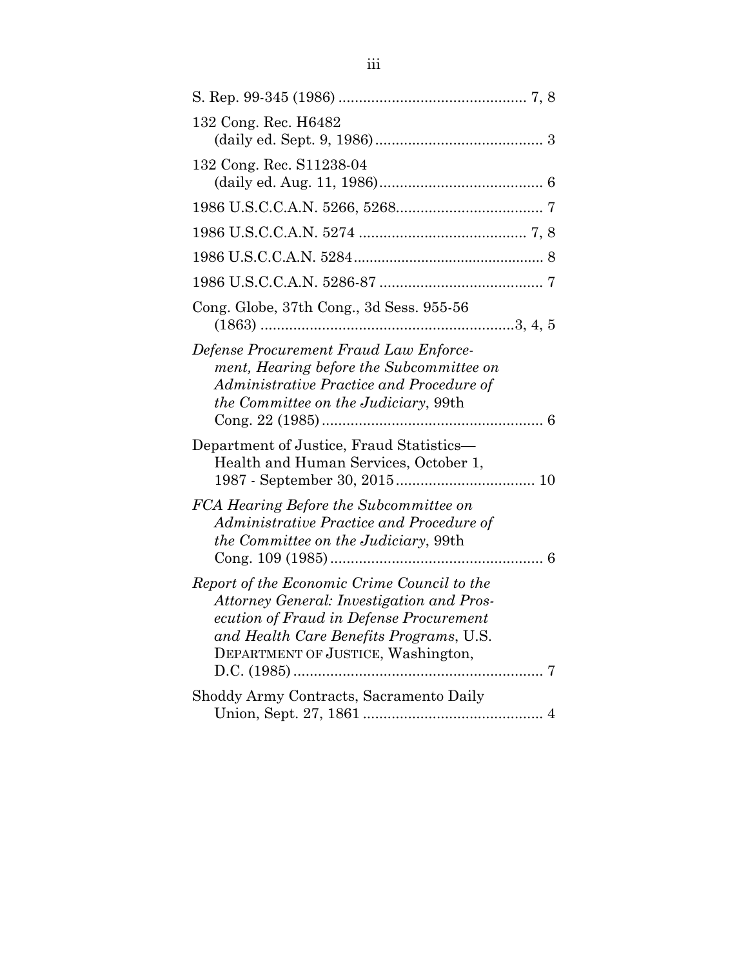| 132 Cong. Rec. H6482                                                                                                                                                                                                 |
|----------------------------------------------------------------------------------------------------------------------------------------------------------------------------------------------------------------------|
| 132 Cong. Rec. S11238-04                                                                                                                                                                                             |
|                                                                                                                                                                                                                      |
|                                                                                                                                                                                                                      |
|                                                                                                                                                                                                                      |
|                                                                                                                                                                                                                      |
| Cong. Globe, 37th Cong., 3d Sess. 955-56                                                                                                                                                                             |
| Defense Procurement Fraud Law Enforce-<br>ment, Hearing before the Subcommittee on<br>Administrative Practice and Procedure of<br>the Committee on the Judiciary, 99th                                               |
| Department of Justice, Fraud Statistics-<br>Health and Human Services, October 1,                                                                                                                                    |
| FCA Hearing Before the Subcommittee on<br>Administrative Practice and Procedure of<br><i>the Committee on the Judiciary</i> , 99th                                                                                   |
| Report of the Economic Crime Council to the<br>Attorney General: Investigation and Pros-<br>ecution of Fraud in Defense Procurement<br>and Health Care Benefits Programs, U.S.<br>DEPARTMENT OF JUSTICE, Washington, |
| Shoddy Army Contracts, Sacramento Daily                                                                                                                                                                              |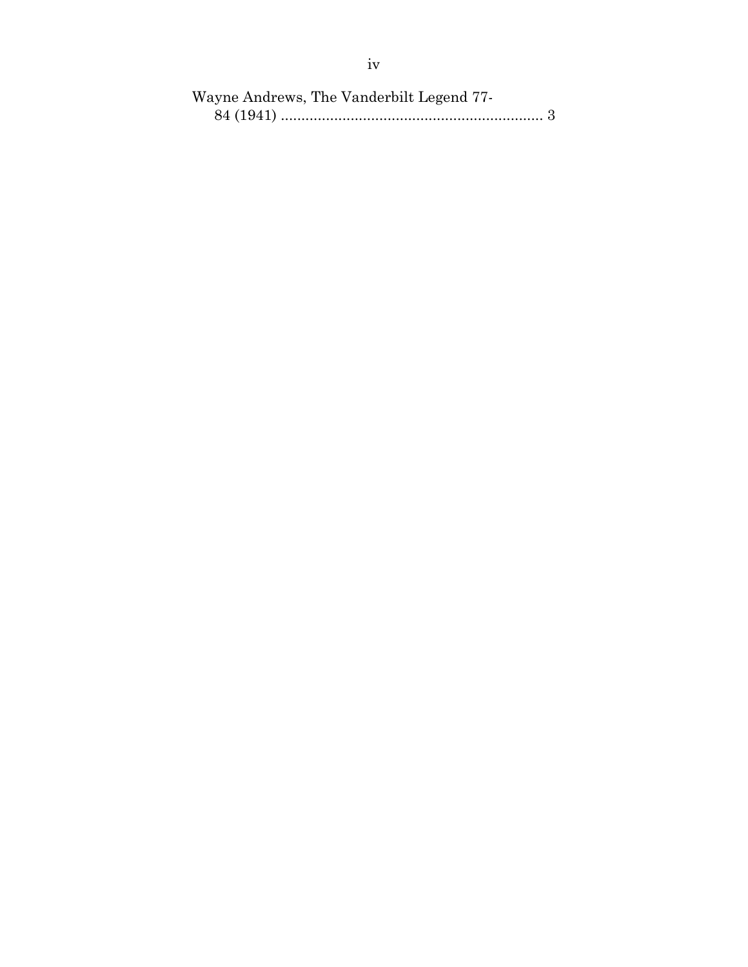| Wayne Andrews, The Vanderbilt Legend 77- |  |
|------------------------------------------|--|
|                                          |  |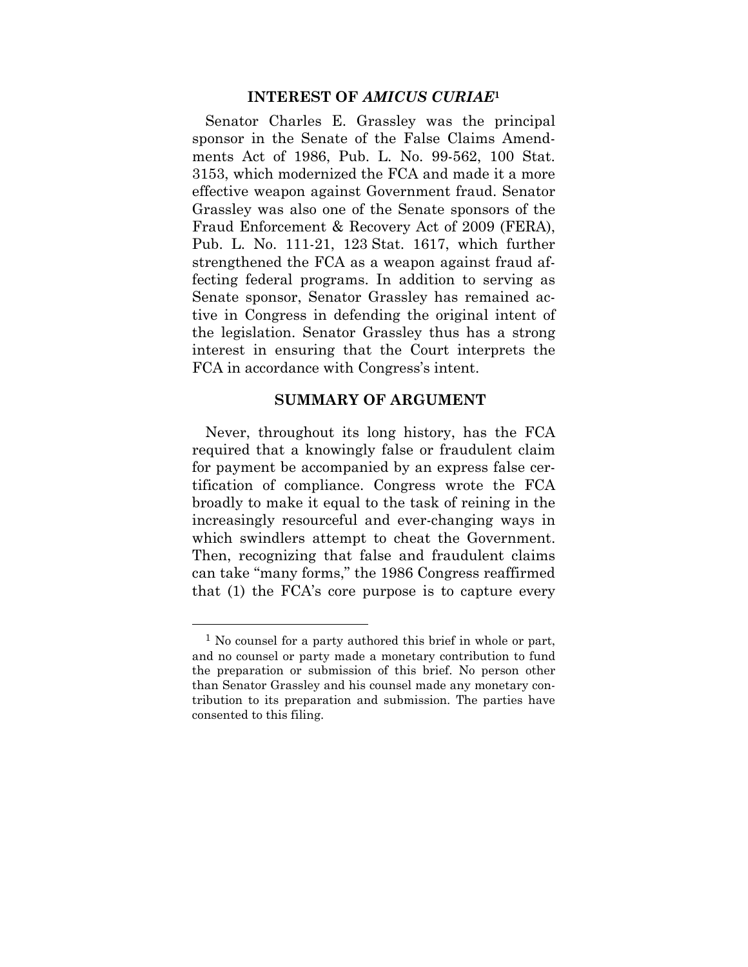#### **INTEREST OF** *AMICUS CURIAE***<sup>1</sup>**

Senator Charles E. Grassley was the principal sponsor in the Senate of the False Claims Amendments Act of 1986, Pub. L. No. 99-562, 100 Stat. 3153, which modernized the FCA and made it a more effective weapon against Government fraud. Senator Grassley was also one of the Senate sponsors of the Fraud Enforcement & Recovery Act of 2009 (FERA), Pub. L. No. 111-21, 123 Stat. 1617, which further strengthened the FCA as a weapon against fraud affecting federal programs. In addition to serving as Senate sponsor, Senator Grassley has remained active in Congress in defending the original intent of the legislation. Senator Grassley thus has a strong interest in ensuring that the Court interprets the FCA in accordance with Congress's intent.

### **SUMMARY OF ARGUMENT**

Never, throughout its long history, has the FCA required that a knowingly false or fraudulent claim for payment be accompanied by an express false certification of compliance. Congress wrote the FCA broadly to make it equal to the task of reining in the increasingly resourceful and ever-changing ways in which swindlers attempt to cheat the Government. Then, recognizing that false and fraudulent claims can take "many forms," the 1986 Congress reaffirmed that (1) the FCA's core purpose is to capture every

 $\overline{a}$ 

<sup>&</sup>lt;sup>1</sup> No counsel for a party authored this brief in whole or part, and no counsel or party made a monetary contribution to fund the preparation or submission of this brief. No person other than Senator Grassley and his counsel made any monetary contribution to its preparation and submission. The parties have consented to this filing.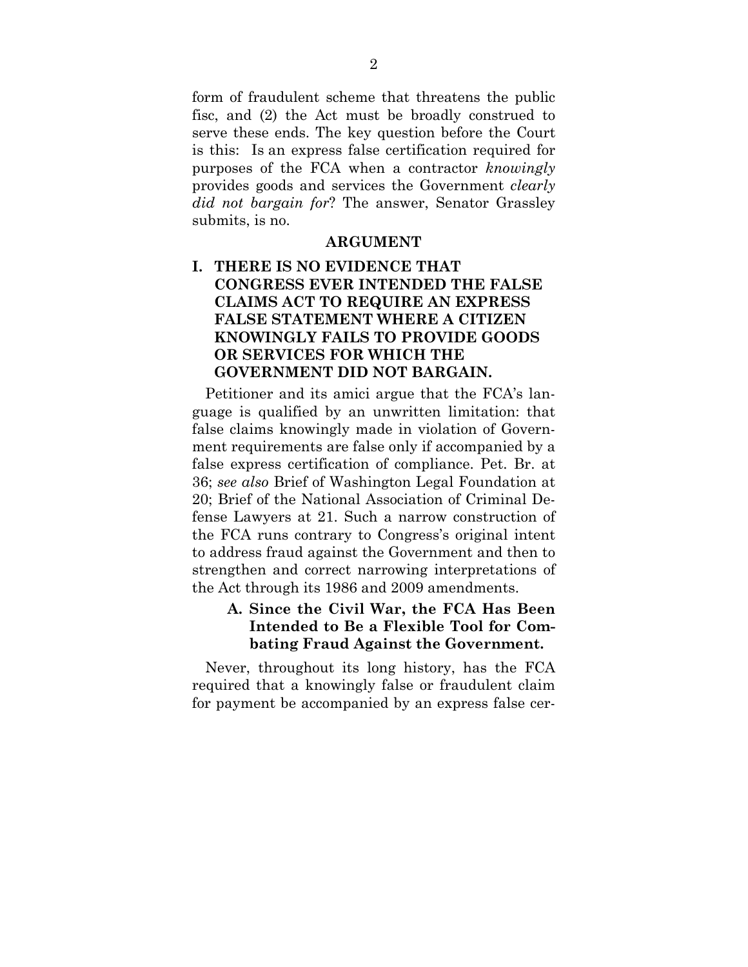form of fraudulent scheme that threatens the public fisc, and (2) the Act must be broadly construed to serve these ends. The key question before the Court is this: Is an express false certification required for purposes of the FCA when a contractor *knowingly* provides goods and services the Government *clearly did not bargain for*? The answer, Senator Grassley submits, is no.

#### **ARGUMENT**

## **I. THERE IS NO EVIDENCE THAT CONGRESS EVER INTENDED THE FALSE CLAIMS ACT TO REQUIRE AN EXPRESS FALSE STATEMENT WHERE A CITIZEN KNOWINGLY FAILS TO PROVIDE GOODS OR SERVICES FOR WHICH THE GOVERNMENT DID NOT BARGAIN.**

Petitioner and its amici argue that the FCA's language is qualified by an unwritten limitation: that false claims knowingly made in violation of Government requirements are false only if accompanied by a false express certification of compliance. Pet. Br. at 36; *see also* Brief of Washington Legal Foundation at 20; Brief of the National Association of Criminal Defense Lawyers at 21. Such a narrow construction of the FCA runs contrary to Congress's original intent to address fraud against the Government and then to strengthen and correct narrowing interpretations of the Act through its 1986 and 2009 amendments.

### **A. Since the Civil War, the FCA Has Been Intended to Be a Flexible Tool for Combating Fraud Against the Government.**

Never, throughout its long history, has the FCA required that a knowingly false or fraudulent claim for payment be accompanied by an express false cer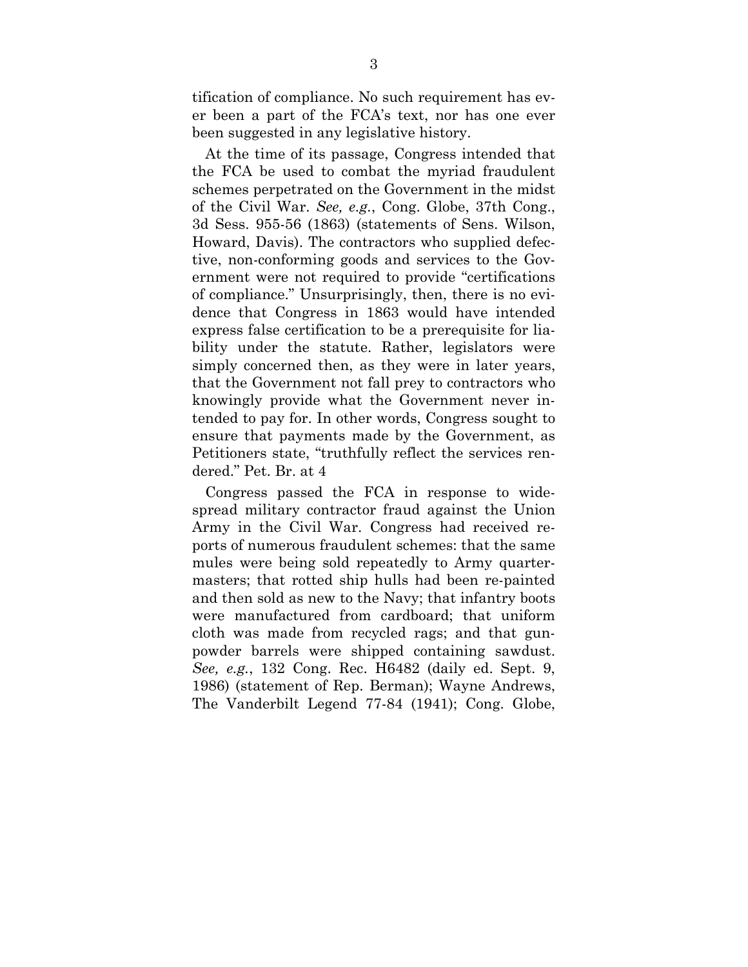tification of compliance. No such requirement has ever been a part of the FCA's text, nor has one ever been suggested in any legislative history.

At the time of its passage, Congress intended that the FCA be used to combat the myriad fraudulent schemes perpetrated on the Government in the midst of the Civil War. *See, e.g.*, Cong. Globe, 37th Cong., 3d Sess. 955-56 (1863) (statements of Sens. Wilson, Howard, Davis). The contractors who supplied defective, non-conforming goods and services to the Government were not required to provide "certifications of compliance." Unsurprisingly, then, there is no evidence that Congress in 1863 would have intended express false certification to be a prerequisite for liability under the statute. Rather, legislators were simply concerned then, as they were in later years, that the Government not fall prey to contractors who knowingly provide what the Government never intended to pay for. In other words, Congress sought to ensure that payments made by the Government, as Petitioners state, "truthfully reflect the services rendered." Pet. Br. at 4

Congress passed the FCA in response to widespread military contractor fraud against the Union Army in the Civil War. Congress had received reports of numerous fraudulent schemes: that the same mules were being sold repeatedly to Army quartermasters; that rotted ship hulls had been re-painted and then sold as new to the Navy; that infantry boots were manufactured from cardboard; that uniform cloth was made from recycled rags; and that gunpowder barrels were shipped containing sawdust. *See, e.g.*, 132 Cong. Rec. H6482 (daily ed. Sept. 9, 1986) (statement of Rep. Berman); Wayne Andrews, The Vanderbilt Legend 77-84 (1941); Cong. Globe,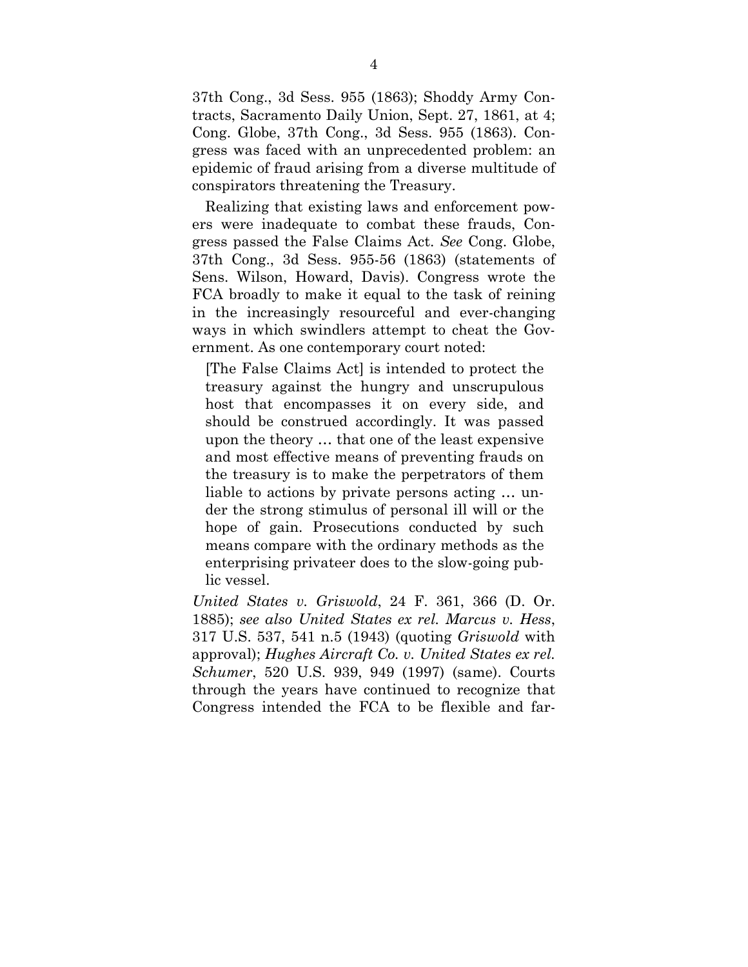37th Cong., 3d Sess. 955 (1863); Shoddy Army Contracts, Sacramento Daily Union, Sept. 27, 1861, at 4; Cong. Globe, 37th Cong., 3d Sess. 955 (1863). Congress was faced with an unprecedented problem: an epidemic of fraud arising from a diverse multitude of conspirators threatening the Treasury.

Realizing that existing laws and enforcement powers were inadequate to combat these frauds, Congress passed the False Claims Act. *See* Cong. Globe, 37th Cong., 3d Sess. 955-56 (1863) (statements of Sens. Wilson, Howard, Davis). Congress wrote the FCA broadly to make it equal to the task of reining in the increasingly resourceful and ever-changing ways in which swindlers attempt to cheat the Government. As one contemporary court noted:

[The False Claims Act] is intended to protect the treasury against the hungry and unscrupulous host that encompasses it on every side, and should be construed accordingly. It was passed upon the theory … that one of the least expensive and most effective means of preventing frauds on the treasury is to make the perpetrators of them liable to actions by private persons acting … under the strong stimulus of personal ill will or the hope of gain. Prosecutions conducted by such means compare with the ordinary methods as the enterprising privateer does to the slow-going public vessel.

*United States v. Griswold*, 24 F. 361, 366 (D. Or. 1885); *see also United States ex rel. Marcus v. Hess*, 317 U.S. 537, 541 n.5 (1943) (quoting *Griswold* with approval); *Hughes Aircraft Co. v. United States ex rel. Schumer*, 520 U.S. 939, 949 (1997) (same). Courts through the years have continued to recognize that Congress intended the FCA to be flexible and far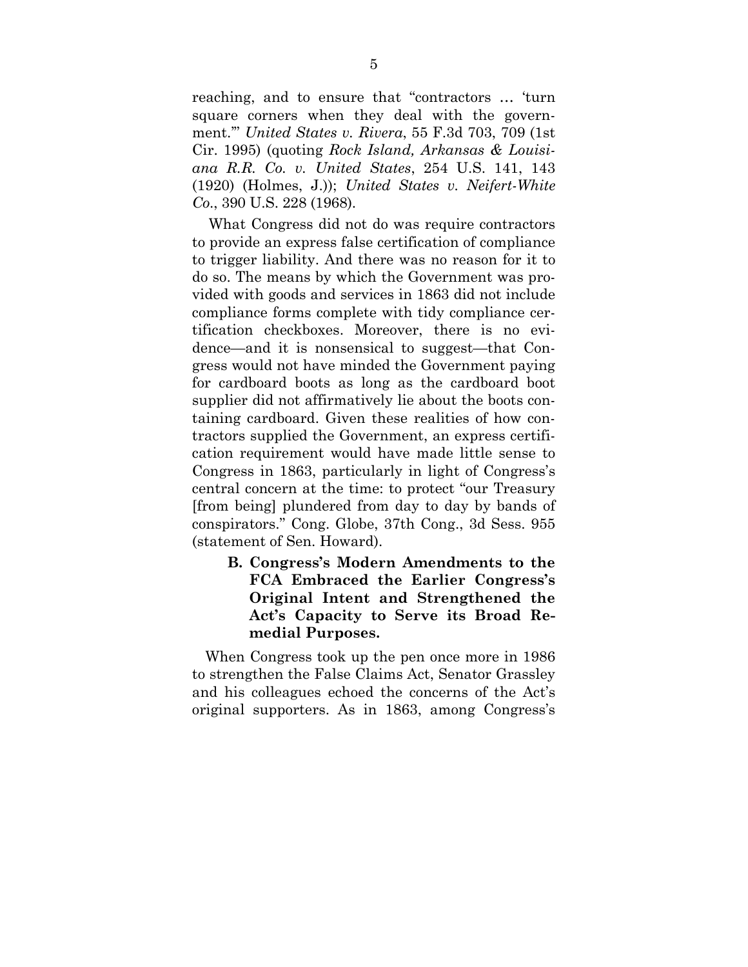reaching, and to ensure that "contractors … 'turn square corners when they deal with the government.'" *United States v. Rivera*, 55 F.3d 703, 709 (1st Cir. 1995) (quoting *Rock Island, Arkansas & Louisiana R.R. Co. v. United States*, 254 U.S. 141, 143 (1920) (Holmes, J.)); *United States v. Neifert-White Co*., 390 U.S. 228 (1968).

What Congress did not do was require contractors to provide an express false certification of compliance to trigger liability. And there was no reason for it to do so. The means by which the Government was provided with goods and services in 1863 did not include compliance forms complete with tidy compliance certification checkboxes. Moreover, there is no evidence—and it is nonsensical to suggest—that Congress would not have minded the Government paying for cardboard boots as long as the cardboard boot supplier did not affirmatively lie about the boots containing cardboard. Given these realities of how contractors supplied the Government, an express certification requirement would have made little sense to Congress in 1863, particularly in light of Congress's central concern at the time: to protect "our Treasury [from being] plundered from day to day by bands of conspirators." Cong. Globe, 37th Cong., 3d Sess. 955 (statement of Sen. Howard).

**B. Congress's Modern Amendments to the FCA Embraced the Earlier Congress's Original Intent and Strengthened the Act's Capacity to Serve its Broad Remedial Purposes.** 

When Congress took up the pen once more in 1986 to strengthen the False Claims Act, Senator Grassley and his colleagues echoed the concerns of the Act's original supporters. As in 1863, among Congress's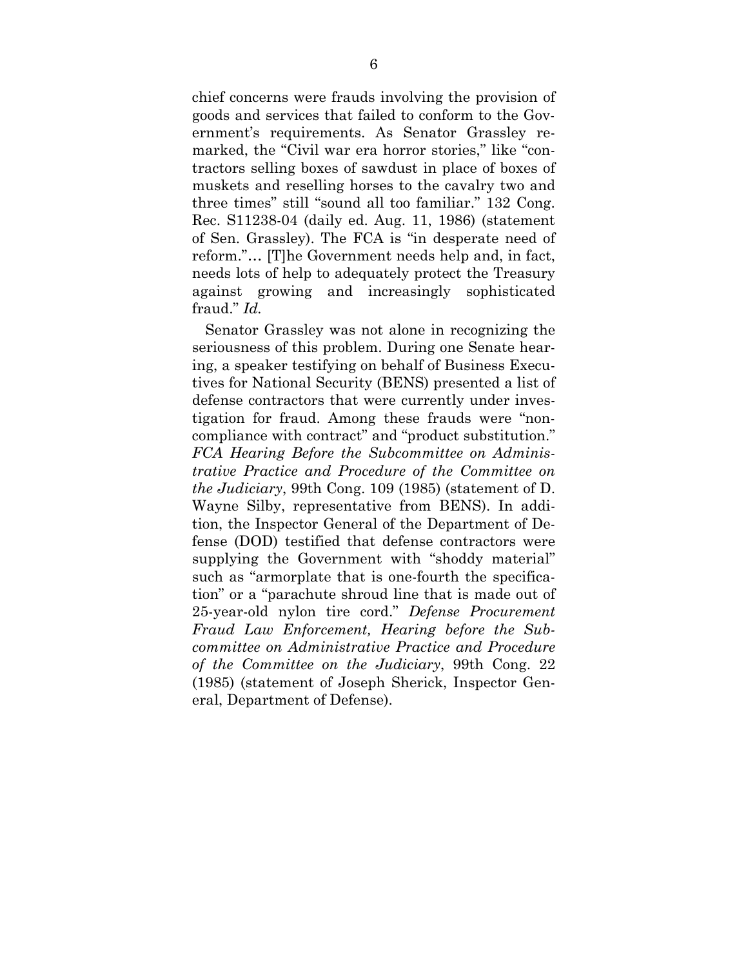chief concerns were frauds involving the provision of goods and services that failed to conform to the Government's requirements. As Senator Grassley remarked, the "Civil war era horror stories," like "contractors selling boxes of sawdust in place of boxes of muskets and reselling horses to the cavalry two and three times" still "sound all too familiar." 132 Cong. Rec. S11238-04 (daily ed. Aug. 11, 1986) (statement of Sen. Grassley). The FCA is "in desperate need of reform."… [T]he Government needs help and, in fact, needs lots of help to adequately protect the Treasury against growing and increasingly sophisticated fraud." *Id.*

Senator Grassley was not alone in recognizing the seriousness of this problem. During one Senate hearing, a speaker testifying on behalf of Business Executives for National Security (BENS) presented a list of defense contractors that were currently under investigation for fraud. Among these frauds were "noncompliance with contract" and "product substitution." *FCA Hearing Before the Subcommittee on Administrative Practice and Procedure of the Committee on the Judiciary*, 99th Cong. 109 (1985) (statement of D. Wayne Silby, representative from BENS). In addition, the Inspector General of the Department of Defense (DOD) testified that defense contractors were supplying the Government with "shoddy material" such as "armorplate that is one-fourth the specification" or a "parachute shroud line that is made out of 25-year-old nylon tire cord." *Defense Procurement Fraud Law Enforcement, Hearing before the Subcommittee on Administrative Practice and Procedure of the Committee on the Judiciary*, 99th Cong. 22 (1985) (statement of Joseph Sherick, Inspector General, Department of Defense).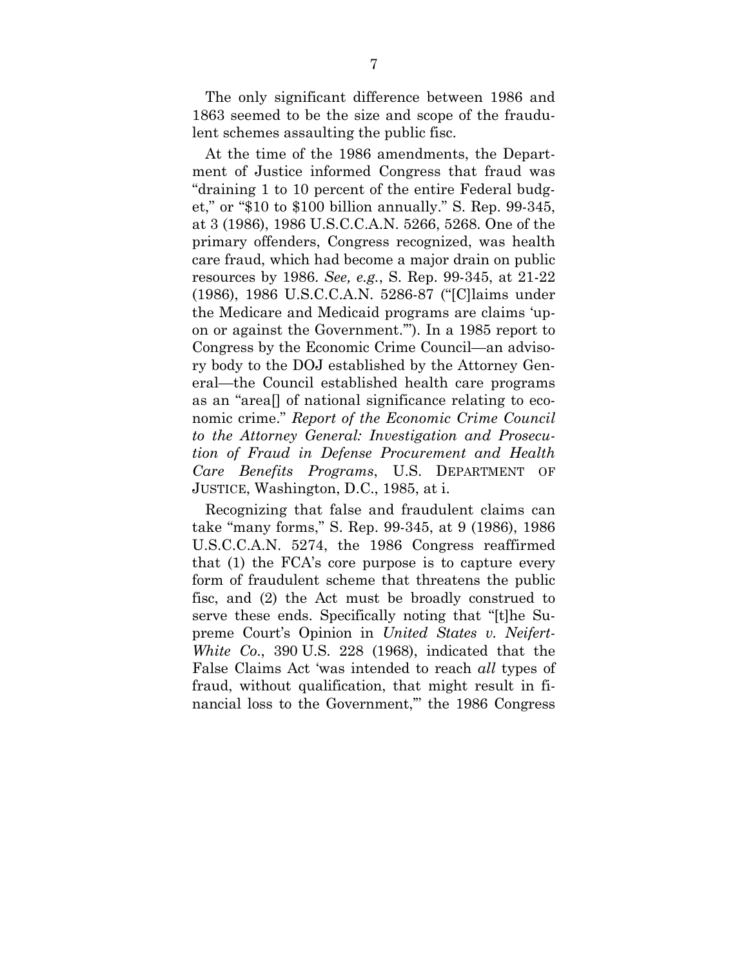The only significant difference between 1986 and 1863 seemed to be the size and scope of the fraudulent schemes assaulting the public fisc.

At the time of the 1986 amendments, the Department of Justice informed Congress that fraud was "draining 1 to 10 percent of the entire Federal budget," or "\$10 to \$100 billion annually." S. Rep. 99-345, at 3 (1986), 1986 U.S.C.C.A.N. 5266, 5268. One of the primary offenders, Congress recognized, was health care fraud, which had become a major drain on public resources by 1986. *See, e.g.*, S. Rep. 99-345, at 21-22 (1986), 1986 U.S.C.C.A.N. 5286-87 ("[C]laims under the Medicare and Medicaid programs are claims 'upon or against the Government.'"). In a 1985 report to Congress by the Economic Crime Council—an advisory body to the DOJ established by the Attorney General—the Council established health care programs as an "area[] of national significance relating to economic crime." *Report of the Economic Crime Council to the Attorney General: Investigation and Prosecution of Fraud in Defense Procurement and Health Care Benefits Programs*, U.S. DEPARTMENT OF JUSTICE, Washington, D.C., 1985, at i.

Recognizing that false and fraudulent claims can take "many forms," S. Rep. 99-345, at 9 (1986), 1986 U.S.C.C.A.N. 5274, the 1986 Congress reaffirmed that (1) the FCA's core purpose is to capture every form of fraudulent scheme that threatens the public fisc, and (2) the Act must be broadly construed to serve these ends. Specifically noting that "[t]he Supreme Court's Opinion in *United States v. Neifert-White Co*., 390 U.S. 228 (1968), indicated that the False Claims Act 'was intended to reach *all* types of fraud, without qualification, that might result in financial loss to the Government,'" the 1986 Congress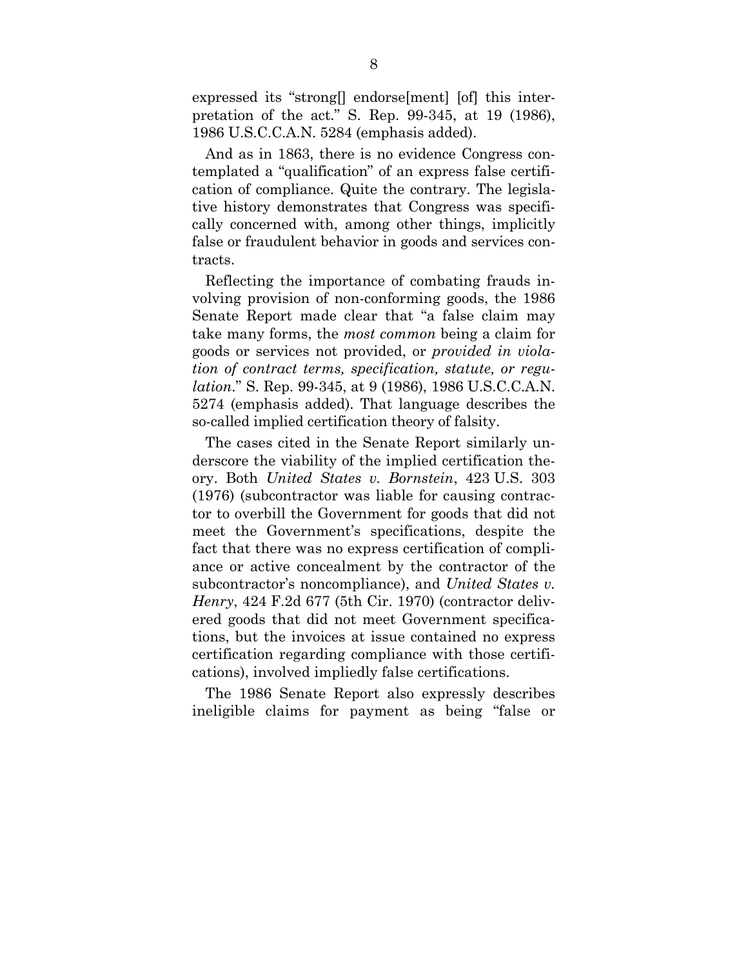expressed its "strong[] endorse[ment] [of] this interpretation of the act." S. Rep. 99-345, at 19 (1986), 1986 U.S.C.C.A.N. 5284 (emphasis added).

And as in 1863, there is no evidence Congress contemplated a "qualification" of an express false certification of compliance. Quite the contrary. The legislative history demonstrates that Congress was specifically concerned with, among other things, implicitly false or fraudulent behavior in goods and services contracts.

Reflecting the importance of combating frauds involving provision of non-conforming goods, the 1986 Senate Report made clear that "a false claim may take many forms, the *most common* being a claim for goods or services not provided, or *provided in violation of contract terms, specification, statute, or regulation*." S. Rep. 99-345, at 9 (1986), 1986 U.S.C.C.A.N. 5274 (emphasis added). That language describes the so-called implied certification theory of falsity.

The cases cited in the Senate Report similarly underscore the viability of the implied certification theory. Both *United States v. Bornstein*, 423 U.S. 303 (1976) (subcontractor was liable for causing contractor to overbill the Government for goods that did not meet the Government's specifications, despite the fact that there was no express certification of compliance or active concealment by the contractor of the subcontractor's noncompliance), and *United States v. Henry*, 424 F.2d 677 (5th Cir. 1970) (contractor delivered goods that did not meet Government specifications, but the invoices at issue contained no express certification regarding compliance with those certifications), involved impliedly false certifications.

The 1986 Senate Report also expressly describes ineligible claims for payment as being "false or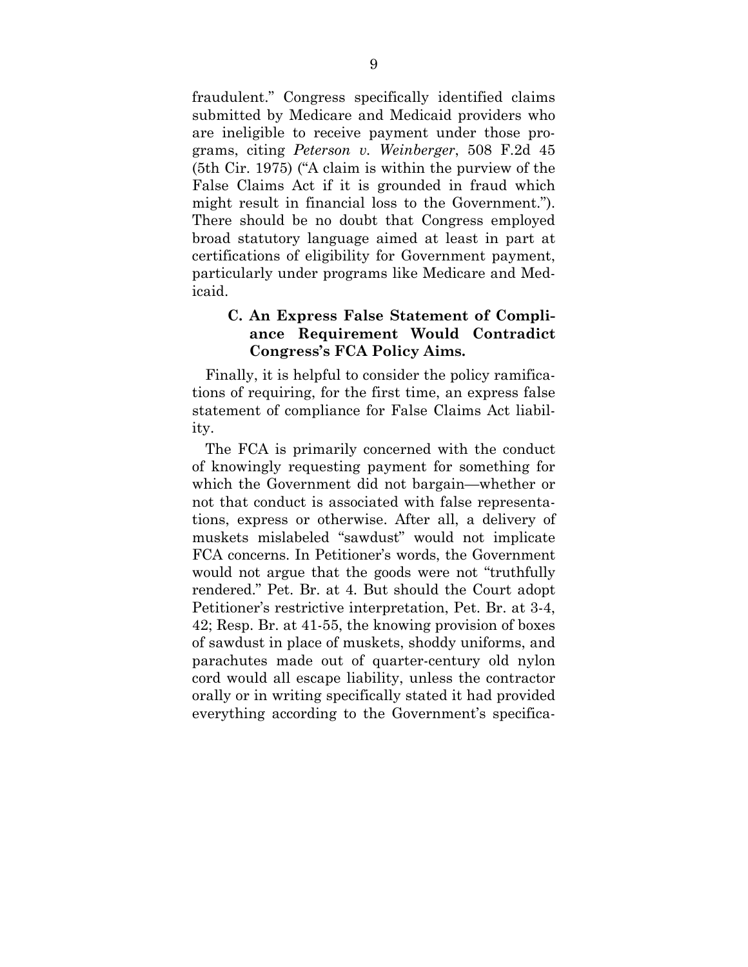fraudulent." Congress specifically identified claims submitted by Medicare and Medicaid providers who are ineligible to receive payment under those programs, citing *Peterson v. Weinberger*, 508 F.2d 45 (5th Cir. 1975) ("A claim is within the purview of the False Claims Act if it is grounded in fraud which might result in financial loss to the Government."). There should be no doubt that Congress employed broad statutory language aimed at least in part at certifications of eligibility for Government payment, particularly under programs like Medicare and Medicaid.

### **C. An Express False Statement of Compliance Requirement Would Contradict Congress's FCA Policy Aims.**

Finally, it is helpful to consider the policy ramifications of requiring, for the first time, an express false statement of compliance for False Claims Act liability.

The FCA is primarily concerned with the conduct of knowingly requesting payment for something for which the Government did not bargain—whether or not that conduct is associated with false representations, express or otherwise. After all, a delivery of muskets mislabeled "sawdust" would not implicate FCA concerns. In Petitioner's words, the Government would not argue that the goods were not "truthfully rendered." Pet. Br. at 4. But should the Court adopt Petitioner's restrictive interpretation, Pet. Br. at 3-4, 42; Resp. Br. at 41-55, the knowing provision of boxes of sawdust in place of muskets, shoddy uniforms, and parachutes made out of quarter-century old nylon cord would all escape liability, unless the contractor orally or in writing specifically stated it had provided everything according to the Government's specifica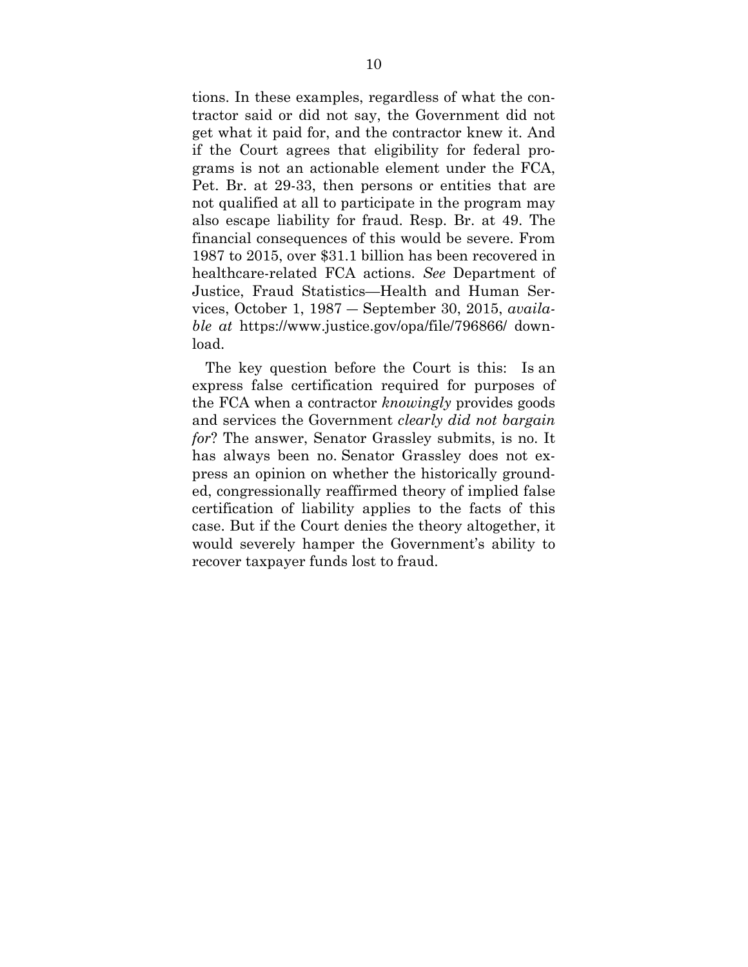tions. In these examples, regardless of what the contractor said or did not say, the Government did not get what it paid for, and the contractor knew it. And if the Court agrees that eligibility for federal programs is not an actionable element under the FCA, Pet. Br. at 29-33, then persons or entities that are not qualified at all to participate in the program may also escape liability for fraud. Resp. Br. at 49. The financial consequences of this would be severe. From 1987 to 2015, over \$31.1 billion has been recovered in healthcare-related FCA actions. *See* Department of Justice, Fraud Statistics—Health and Human Services, October 1, 1987 ― September 30, 2015, *available at* https://www.justice.gov/opa/file/796866/ download.

The key question before the Court is this: Is an express false certification required for purposes of the FCA when a contractor *knowingly* provides goods and services the Government *clearly did not bargain for*? The answer, Senator Grassley submits, is no. It has always been no. Senator Grassley does not express an opinion on whether the historically grounded, congressionally reaffirmed theory of implied false certification of liability applies to the facts of this case. But if the Court denies the theory altogether, it would severely hamper the Government's ability to recover taxpayer funds lost to fraud.